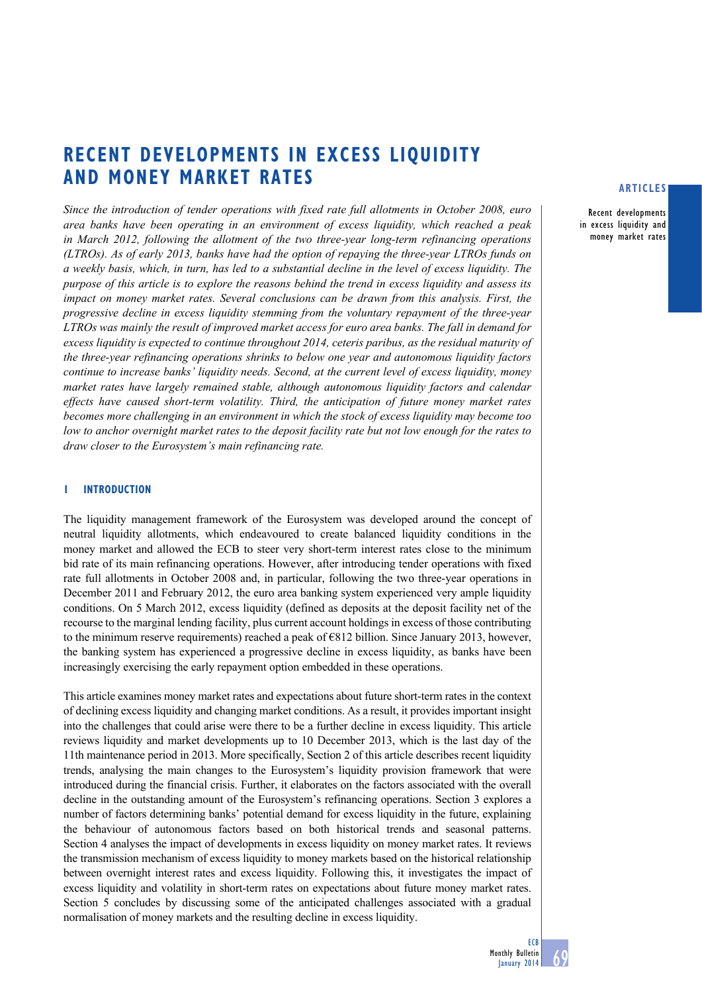# **Recent developments in excess liquidity and money market rates**

*Since the introduction of tender operations with fixed rate full allotments in October 2008, euro area banks have been operating in an environment of excess liquidity, which reached a peak in March 2012, following the allotment of the two three-year long-term refinancing operations (LTROs). As of early 2013, banks have had the option of repaying the three-year LTROs funds on a weekly basis, which, in turn, has led to a substantial decline in the level of excess liquidity. The purpose of this article is to explore the reasons behind the trend in excess liquidity and assess its impact on money market rates. Several conclusions can be drawn from this analysis. First, the progressive decline in excess liquidity stemming from the voluntary repayment of the three-year LTROs was mainly the result of improved market access for euro area banks. The fall in demand for excess liquidity is expected to continue throughout 2014, ceteris paribus, as the residual maturity of the three-year refinancing operations shrinks to below one year and autonomous liquidity factors continue to increase banks' liquidity needs. Second, at the current level of excess liquidity, money market rates have largely remained stable, although autonomous liquidity factors and calendar effects have caused short-term volatility. Third, the anticipation of future money market rates becomes more challenging in an environment in which the stock of excess liquidity may become too low to anchor overnight market rates to the deposit facility rate but not low enough for the rates to draw closer to the Eurosystem's main refinancing rate.*

#### **1 Introduction**

The liquidity management framework of the Eurosystem was developed around the concept of neutral liquidity allotments, which endeavoured to create balanced liquidity conditions in the money market and allowed the ECB to steer very short-term interest rates close to the minimum bid rate of its main refinancing operations. However, after introducing tender operations with fixed rate full allotments in October 2008 and, in particular, following the two three-year operations in December 2011 and February 2012, the euro area banking system experienced very ample liquidity conditions. On 5 March 2012, excess liquidity (defined as deposits at the deposit facility net of the recourse to the marginal lending facility, plus current account holdings in excess of those contributing to the minimum reserve requirements) reached a peak of  $\epsilon$ 812 billion. Since January 2013, however, the banking system has experienced a progressive decline in excess liquidity, as banks have been increasingly exercising the early repayment option embedded in these operations.

This article examines money market rates and expectations about future short-term rates in the context of declining excess liquidity and changing market conditions. As a result, it provides important insight into the challenges that could arise were there to be a further decline in excess liquidity. This article reviews liquidity and market developments up to 10 December 2013, which is the last day of the 11th maintenance period in 2013. More specifically, Section 2 of this article describes recent liquidity trends, analysing the main changes to the Eurosystem's liquidity provision framework that were introduced during the financial crisis. Further, it elaborates on the factors associated with the overall decline in the outstanding amount of the Eurosystem's refinancing operations. Section 3 explores a number of factors determining banks' potential demand for excess liquidity in the future, explaining the behaviour of autonomous factors based on both historical trends and seasonal patterns. Section 4 analyses the impact of developments in excess liquidity on money market rates. It reviews the transmission mechanism of excess liquidity to money markets based on the historical relationship between overnight interest rates and excess liquidity. Following this, it investigates the impact of excess liquidity and volatility in short-term rates on expectations about future money market rates. Section 5 concludes by discussing some of the anticipated challenges associated with a gradual normalisation of money markets and the resulting decline in excess liquidity.

## **articles**

Recent developments in excess liquidity and money market rates

**ECB**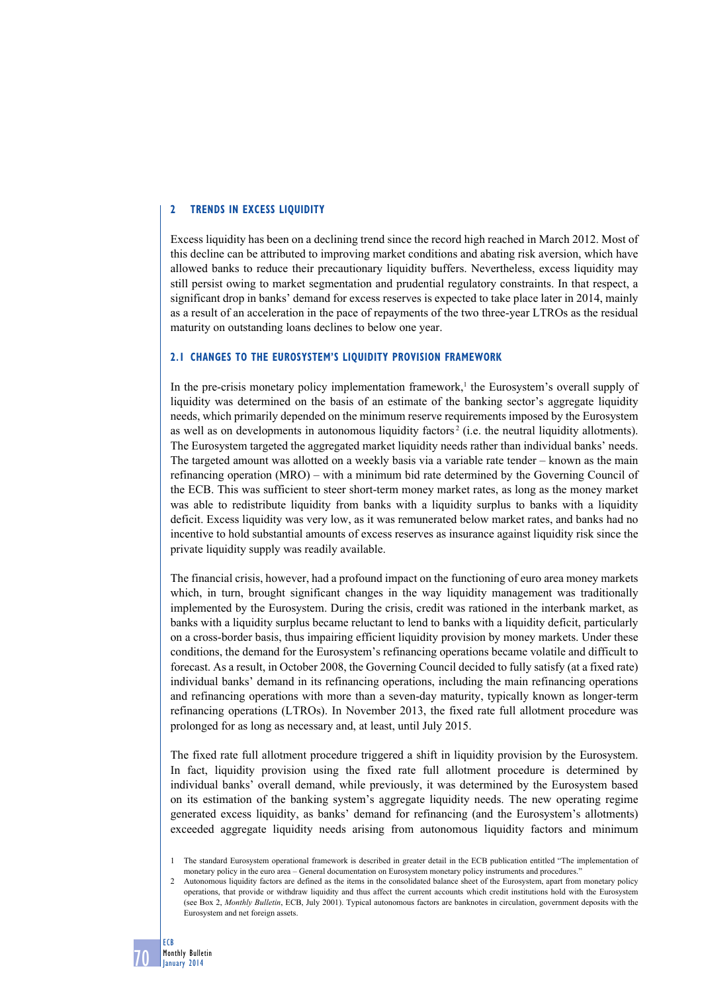## **2 Trends in excess LIQUIDITY**

Excess liquidity has been on a declining trend since the record high reached in March 2012. Most of this decline can be attributed to improving market conditions and abating risk aversion, which have allowed banks to reduce their precautionary liquidity buffers. Nevertheless, excess liquidity may still persist owing to market segmentation and prudential regulatory constraints. In that respect, a significant drop in banks' demand for excess reserves is expected to take place later in 2014, mainly as a result of an acceleration in the pace of repayments of the two three-year LTROs as the residual maturity on outstanding loans declines to below one year.

#### **2.1 Changes to the Eurosystem's liquidity provision framework**

In the pre-crisis monetary policy implementation framework,<sup>1</sup> the Eurosystem's overall supply of liquidity was determined on the basis of an estimate of the banking sector's aggregate liquidity needs, which primarily depended on the minimum reserve requirements imposed by the Eurosystem as well as on developments in autonomous liquidity factors<sup>2</sup> (i.e. the neutral liquidity allotments). The Eurosystem targeted the aggregated market liquidity needs rather than individual banks' needs. The targeted amount was allotted on a weekly basis via a variable rate tender – known as the main refinancing operation (MRO) – with a minimum bid rate determined by the Governing Council of the ECB. This was sufficient to steer short-term money market rates, as long as the money market was able to redistribute liquidity from banks with a liquidity surplus to banks with a liquidity deficit. Excess liquidity was very low, as it was remunerated below market rates, and banks had no incentive to hold substantial amounts of excess reserves as insurance against liquidity risk since the private liquidity supply was readily available.

The financial crisis, however, had a profound impact on the functioning of euro area money markets which, in turn, brought significant changes in the way liquidity management was traditionally implemented by the Eurosystem. During the crisis, credit was rationed in the interbank market, as banks with a liquidity surplus became reluctant to lend to banks with a liquidity deficit, particularly on a cross-border basis, thus impairing efficient liquidity provision by money markets. Under these conditions, the demand for the Eurosystem's refinancing operations became volatile and difficult to forecast. As a result, in October 2008, the Governing Council decided to fully satisfy (at a fixed rate) individual banks' demand in its refinancing operations, including the main refinancing operations and refinancing operations with more than a seven-day maturity, typically known as longer-term refinancing operations (LTROs). In November 2013, the fixed rate full allotment procedure was prolonged for as long as necessary and, at least, until July 2015.

The fixed rate full allotment procedure triggered a shift in liquidity provision by the Eurosystem. In fact, liquidity provision using the fixed rate full allotment procedure is determined by individual banks' overall demand, while previously, it was determined by the Eurosystem based on its estimation of the banking system's aggregate liquidity needs. The new operating regime generated excess liquidity, as banks' demand for refinancing (and the Eurosystem's allotments) exceeded aggregate liquidity needs arising from autonomous liquidity factors and minimum

<sup>1</sup> The standard Eurosystem operational framework is described in greater detail in the ECB publication entitled "The implementation of monetary policy in the euro area – General documentation on Eurosystem monetary policy instruments and procedures."

<sup>2</sup> Autonomous liquidity factors are defined as the items in the consolidated balance sheet of the Eurosystem, apart from monetary policy operations, that provide or withdraw liquidity and thus affect the current accounts which credit institutions hold with the Eurosystem (see Box 2, *Monthly Bulletin*, ECB, July 2001). Typical autonomous factors are banknotes in circulation, government deposits with the Eurosystem and net foreign assets.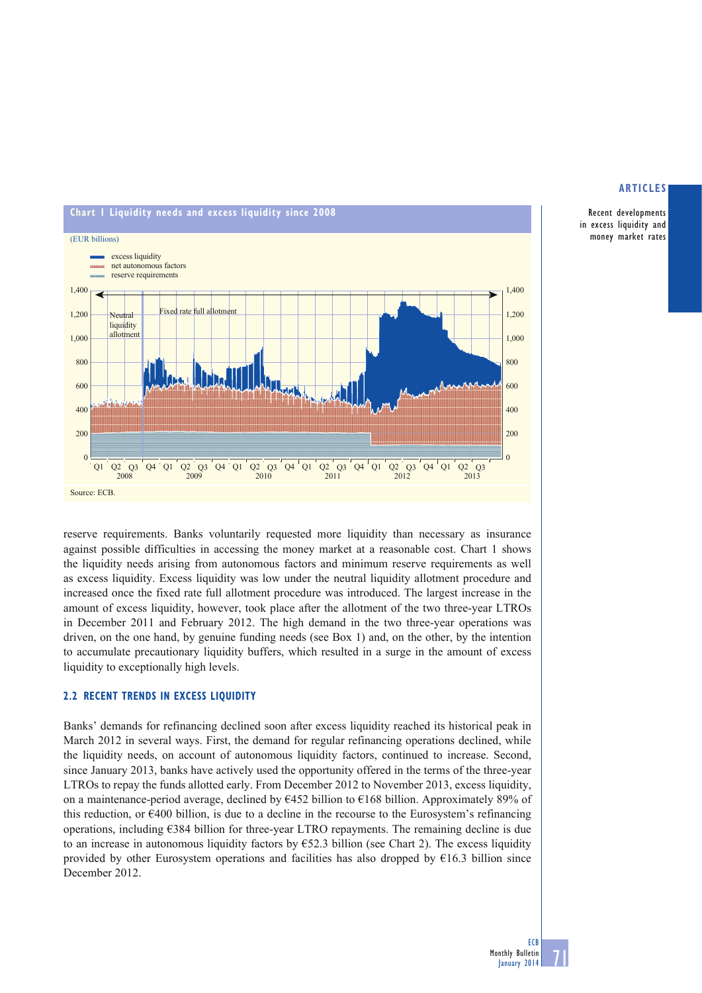

Recent developments in excess liquidity and money market rates

reserve requirements. Banks voluntarily requested more liquidity than necessary as insurance against possible difficulties in accessing the money market at a reasonable cost. Chart 1 shows the liquidity needs arising from autonomous factors and minimum reserve requirements as well as excess liquidity. Excess liquidity was low under the neutral liquidity allotment procedure and increased once the fixed rate full allotment procedure was introduced. The largest increase in the amount of excess liquidity, however, took place after the allotment of the two three-year LTROs in December 2011 and February 2012. The high demand in the two three-year operations was driven, on the one hand, by genuine funding needs (see Box 1) and, on the other, by the intention to accumulate precautionary liquidity buffers, which resulted in a surge in the amount of excess liquidity to exceptionally high levels.

# **2.2 RECENT TRENDS IN EXCESS LIQUIDITY**

Banks' demands for refinancing declined soon after excess liquidity reached its historical peak in March 2012 in several ways. First, the demand for regular refinancing operations declined, while the liquidity needs, on account of autonomous liquidity factors, continued to increase. Second, since January 2013, banks have actively used the opportunity offered in the terms of the three-year LTROs to repay the funds allotted early. From December 2012 to November 2013, excess liquidity, on a maintenance-period average, declined by  $6452$  billion to  $6168$  billion. Approximately 89% of this reduction, or  $E$ 400 billion, is due to a decline in the recourse to the Eurosystem's refinancing operations, including €384 billion for three-year LTRO repayments. The remaining decline is due to an increase in autonomous liquidity factors by  $652.3$  billion (see Chart 2). The excess liquidity provided by other Eurosystem operations and facilities has also dropped by  $\epsilon$ 16.3 billion since December 2012.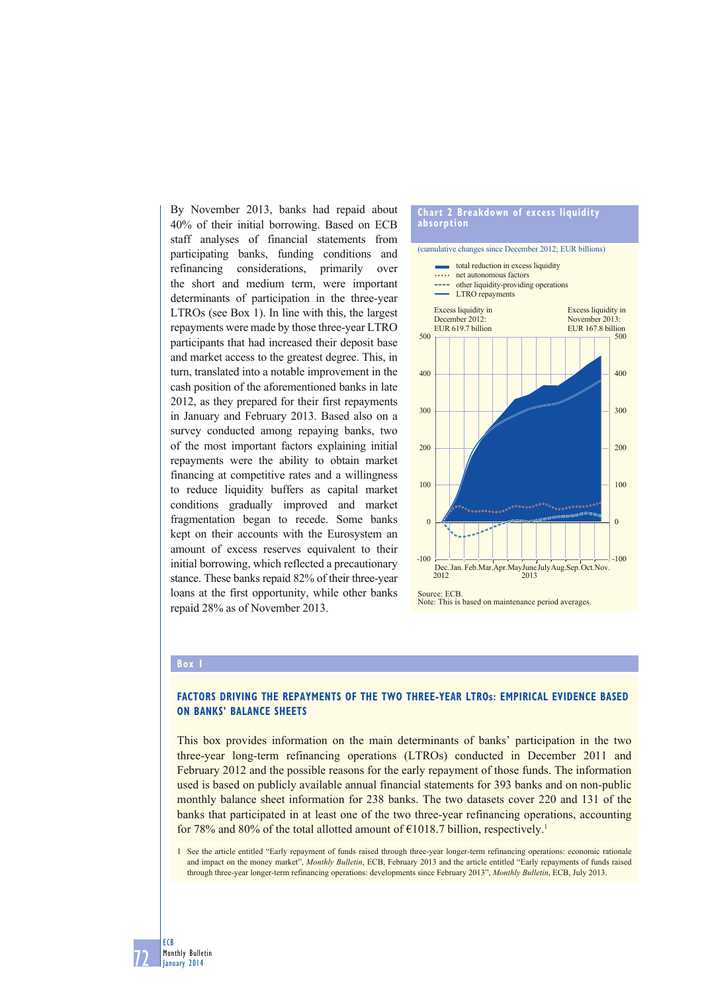By November 2013, banks had repaid about 40% of their initial borrowing. Based on ECB staff analyses of financial statements from participating banks, funding conditions and refinancing considerations, primarily over the short and medium term, were important determinants of participation in the three-year LTROs (see Box 1). In line with this, the largest repayments were made by those three-year LTRO participants that had increased their deposit base and market access to the greatest degree. This, in turn, translated into a notable improvement in the cash position of the aforementioned banks in late 2012, as they prepared for their first repayments in January and February 2013. Based also on a survey conducted among repaying banks, two of the most important factors explaining initial repayments were the ability to obtain market financing at competitive rates and a willingness to reduce liquidity buffers as capital market conditions gradually improved and market fragmentation began to recede. Some banks kept on their accounts with the Eurosystem an amount of excess reserves equivalent to their initial borrowing, which reflected a precautionary stance. These banks repaid 82% of their three-year loans at the first opportunity, while other banks repaid 28% as of November 2013.

# **Chart 2 Breakdown of excess liquidity absorption**



#### **Box 1**

72

ECB Monthly Bulletin January 2014

# **FACTORS DRIVING THE REPAYMENTS OF THE TWO THREE-YEAR LTROs: EMPIRICAL EVIDENCE BASED ON BANKS' BALANCE SHEETS**

This box provides information on the main determinants of banks' participation in the two three-year long-term refinancing operations (LTROs) conducted in December 2011 and February 2012 and the possible reasons for the early repayment of those funds. The information used is based on publicly available annual financial statements for 393 banks and on non-public monthly balance sheet information for 238 banks. The two datasets cover 220 and 131 of the banks that participated in at least one of the two three-year refinancing operations, accounting for 78% and 80% of the total allotted amount of  $\epsilon$ 1018.7 billion, respectively.<sup>1</sup>

1 See the article entitled "Early repayment of funds raised through three-year longer-term refinancing operations: economic rationale and impact on the money market", *Monthly Bulletin*, ECB, February 2013 and the article entitled "Early repayments of funds raised through three-year longer-term refinancing operations: developments since February 2013", *Monthly Bulletin*, ECB, July 2013.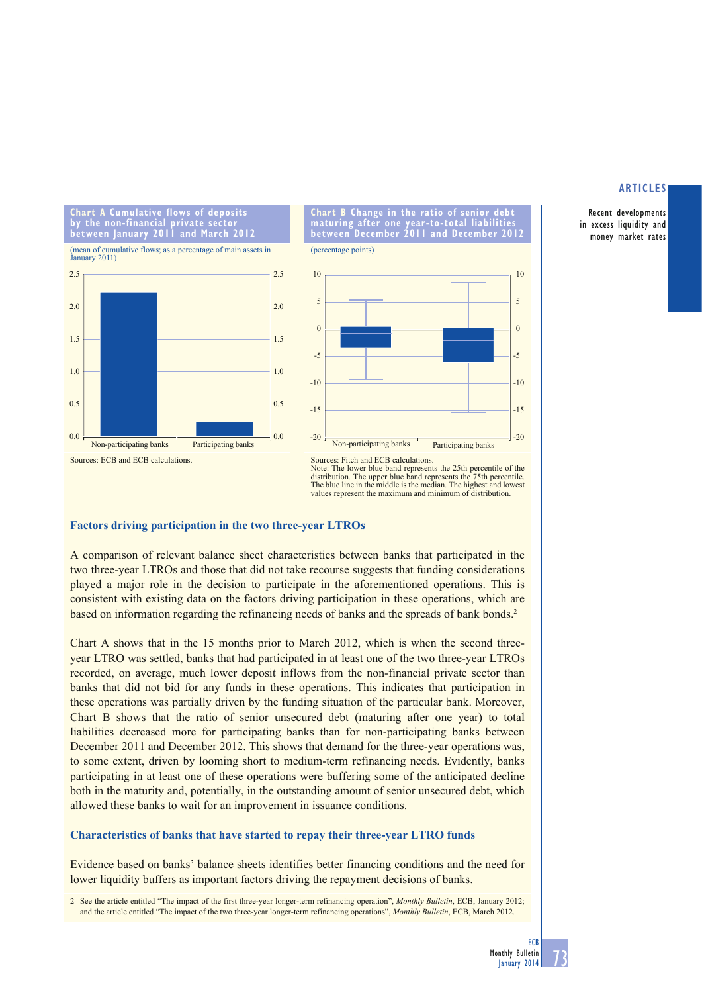Recent developments in excess liquidity and money market rates

**Chart A Cumulative flows of deposits by the non-financial private sector between January 2011 and March 2012** (mean of cumulative flows; as a percentage of main assets in







**maturing after one year-to-total liabilities** 

**Chart B Change in the ratio maturing after one year-to-**



Sources: Fitch and ECB calculations.

# **Factors driving participation in the two three-year LTROs**

A comparison of relevant balance sheet characteristics between banks that participated in the two three-year LTROs and those that did not take recourse suggests that funding considerations played a major role in the decision to participate in the aforementioned operations. This is consistent with existing data on the factors driving participation in these operations, which are based on information regarding the refinancing needs of banks and the spreads of bank bonds.2

Chart A shows that in the 15 months prior to March 2012, which is when the second threeyear LTRO was settled, banks that had participated in at least one of the two three-year LTROs recorded, on average, much lower deposit inflows from the non-financial private sector than banks that did not bid for any funds in these operations. This indicates that participation in these operations was partially driven by the funding situation of the particular bank. Moreover, Chart B shows that the ratio of senior unsecured debt (maturing after one year) to total liabilities decreased more for participating banks than for non-participating banks between December 2011 and December 2012. This shows that demand for the three-year operations was, to some extent, driven by looming short to medium-term refinancing needs. Evidently, banks participating in at least one of these operations were buffering some of the anticipated decline both in the maturity and, potentially, in the outstanding amount of senior unsecured debt, which allowed these banks to wait for an improvement in issuance conditions.

# **Characteristics of banks that have started to repay their three-year LTRO funds**

Evidence based on banks' balance sheets identifies better financing conditions and the need for lower liquidity buffers as important factors driving the repayment decisions of banks.

2 See the article entitled "The impact of the first three-year longer-term refinancing operation", *Monthly Bulletin*, ECB, January 2012; and the article entitled "The impact of the two three-year longer-term refinancing operations", *Monthly Bulletin*, ECB, March 2012.

Note: The lower blue band represents the 25th percentile of the distribution. The upper blue band represents the 75th percentile. The blue line in the middle is the median. The highest and lowest values represent the maximum and minimum of distribution.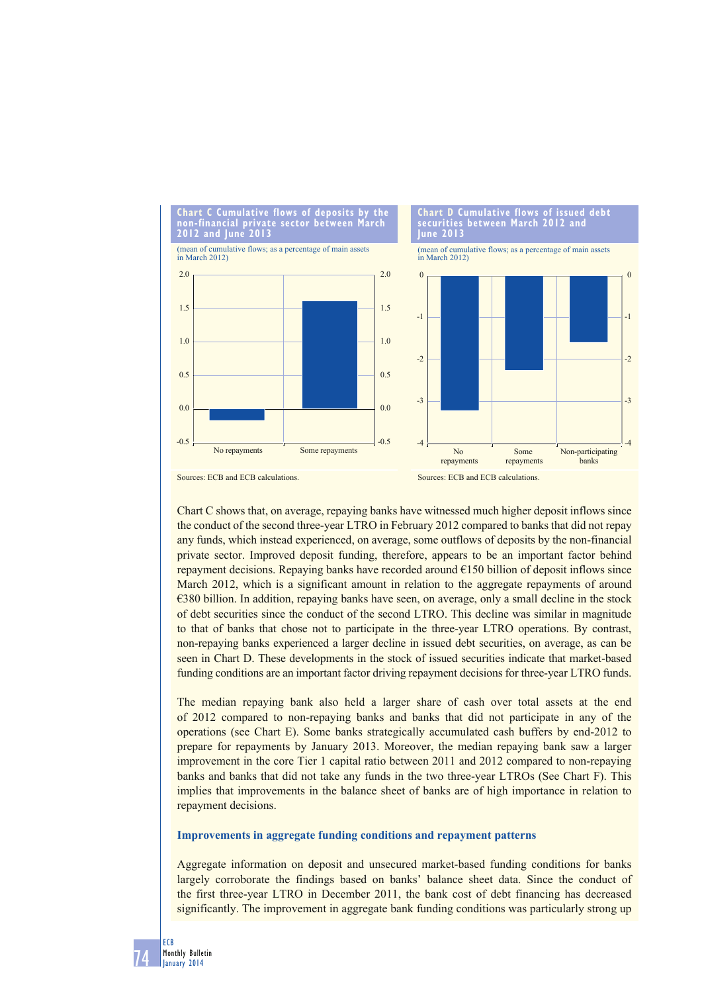

Chart C shows that, on average, repaying banks have witnessed much higher deposit inflows since the conduct of the second three-year LTRO in February 2012 compared to banks that did not repay any funds, which instead experienced, on average, some outflows of deposits by the non-financial private sector. Improved deposit funding, therefore, appears to be an important factor behind repayment decisions. Repaying banks have recorded around  $E150$  billion of deposit inflows since March 2012, which is a significant amount in relation to the aggregate repayments of around €380 billion. In addition, repaying banks have seen, on average, only a small decline in the stock of debt securities since the conduct of the second LTRO. This decline was similar in magnitude to that of banks that chose not to participate in the three-year LTRO operations. By contrast, non-repaying banks experienced a larger decline in issued debt securities, on average, as can be seen in Chart D. These developments in the stock of issued securities indicate that market-based funding conditions are an important factor driving repayment decisions for three-year LTRO funds.

The median repaying bank also held a larger share of cash over total assets at the end of 2012 compared to non-repaying banks and banks that did not participate in any of the operations (see Chart E). Some banks strategically accumulated cash buffers by end-2012 to prepare for repayments by January 2013. Moreover, the median repaying bank saw a larger improvement in the core Tier 1 capital ratio between 2011 and 2012 compared to non-repaying banks and banks that did not take any funds in the two three-year LTROs (See Chart F). This implies that improvements in the balance sheet of banks are of high importance in relation to repayment decisions.

## **Improvements in aggregate funding conditions and repayment patterns**

Aggregate information on deposit and unsecured market-based funding conditions for banks largely corroborate the findings based on banks' balance sheet data. Since the conduct of the first three-year LTRO in December 2011, the bank cost of debt financing has decreased significantly. The improvement in aggregate bank funding conditions was particularly strong up

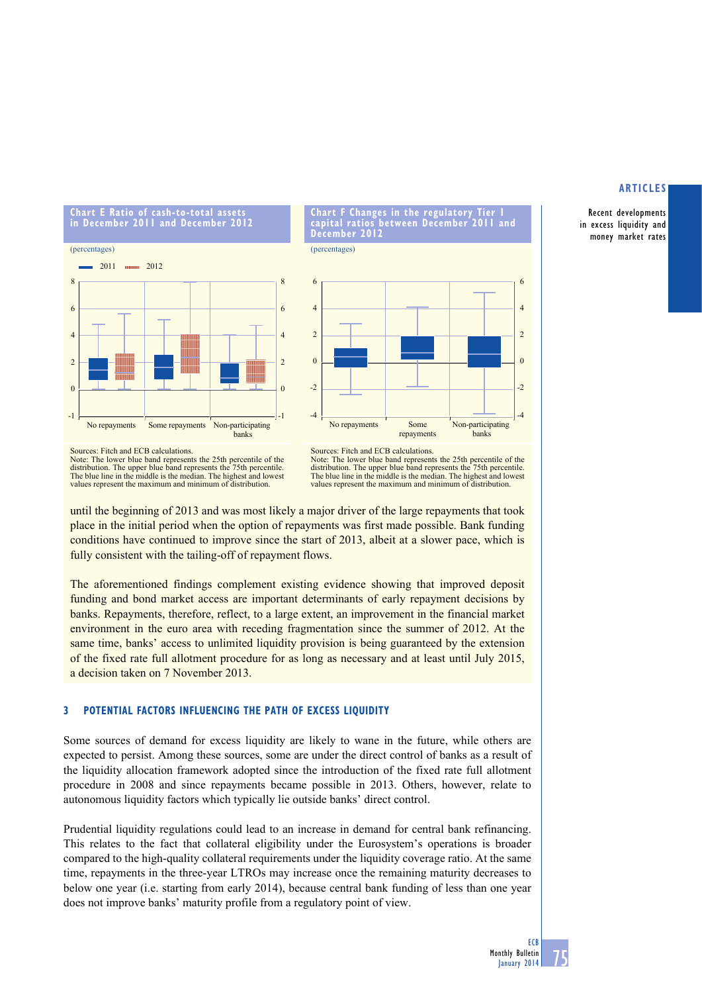#### **articles**

Recent developments in excess liquidity and money market rates





**chart f changes in the regulatory tier 1 capital ratios between december 2011 and** 

**december 2012** (percentages)

Note: The lower blue band represents the 25th percentile of the distribution. The upper blue band represents the 75th percentile. The blue line in the middle is the median. The highest and lowest values represent the maximum and minimum of distribution.

Note: The lower blue band represents the 25th percentile of the distribution. The upper blue band represents the 75th percentile. The blue line in the middle is the median. The highest and lowest values represent the maximum and minimum of distribution.

until the beginning of 2013 and was most likely a major driver of the large repayments that took place in the initial period when the option of repayments was first made possible. Bank funding conditions have continued to improve since the start of 2013, albeit at a slower pace, which is fully consistent with the tailing-off of repayment flows.

The aforementioned findings complement existing evidence showing that improved deposit funding and bond market access are important determinants of early repayment decisions by banks. Repayments, therefore, reflect, to a large extent, an improvement in the financial market environment in the euro area with receding fragmentation since the summer of 2012. At the same time, banks' access to unlimited liquidity provision is being guaranteed by the extension of the fixed rate full allotment procedure for as long as necessary and at least until July 2015, a decision taken on 7 November 2013.

# **3 Potential factors influencing the path of excess liquidity**

Some sources of demand for excess liquidity are likely to wane in the future, while others are expected to persist. Among these sources, some are under the direct control of banks as a result of the liquidity allocation framework adopted since the introduction of the fixed rate full allotment procedure in 2008 and since repayments became possible in 2013. Others, however, relate to autonomous liquidity factors which typically lie outside banks' direct control.

Prudential liquidity regulations could lead to an increase in demand for central bank refinancing. This relates to the fact that collateral eligibility under the Eurosystem's operations is broader compared to the high-quality collateral requirements under the liquidity coverage ratio. At the same time, repayments in the three-year LTROs may increase once the remaining maturity decreases to below one year (i.e. starting from early 2014), because central bank funding of less than one year does not improve banks' maturity profile from a regulatory point of view.

Sources: Fitch and ECB calculations.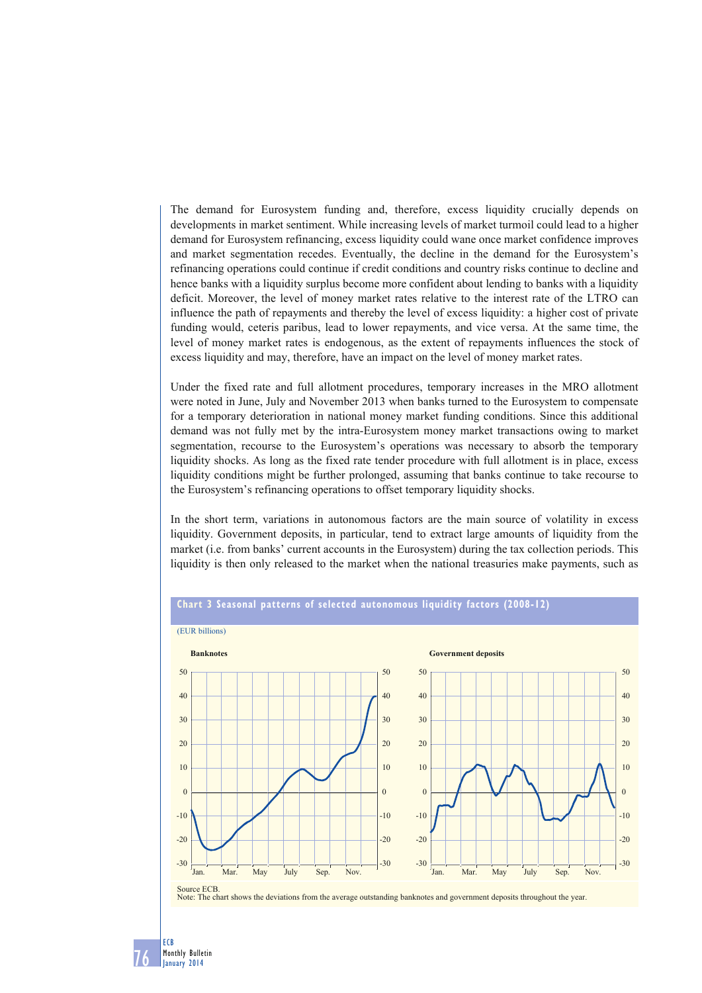The demand for Eurosystem funding and, therefore, excess liquidity crucially depends on developments in market sentiment. While increasing levels of market turmoil could lead to a higher demand for Eurosystem refinancing, excess liquidity could wane once market confidence improves and market segmentation recedes. Eventually, the decline in the demand for the Eurosystem's refinancing operations could continue if credit conditions and country risks continue to decline and hence banks with a liquidity surplus become more confident about lending to banks with a liquidity deficit. Moreover, the level of money market rates relative to the interest rate of the LTRO can influence the path of repayments and thereby the level of excess liquidity: a higher cost of private funding would, ceteris paribus, lead to lower repayments, and vice versa. At the same time, the level of money market rates is endogenous, as the extent of repayments influences the stock of excess liquidity and may, therefore, have an impact on the level of money market rates.

Under the fixed rate and full allotment procedures, temporary increases in the MRO allotment were noted in June, July and November 2013 when banks turned to the Eurosystem to compensate for a temporary deterioration in national money market funding conditions. Since this additional demand was not fully met by the intra-Eurosystem money market transactions owing to market segmentation, recourse to the Eurosystem's operations was necessary to absorb the temporary liquidity shocks. As long as the fixed rate tender procedure with full allotment is in place, excess liquidity conditions might be further prolonged, assuming that banks continue to take recourse to the Eurosystem's refinancing operations to offset temporary liquidity shocks.

In the short term, variations in autonomous factors are the main source of volatility in excess liquidity. Government deposits, in particular, tend to extract large amounts of liquidity from the market (i.e. from banks' current accounts in the Eurosystem) during the tax collection periods. This liquidity is then only released to the market when the national treasuries make payments, such as



## **Chart 3 Seasonal patterns of selected autonomous liquidity factors (2008-12)**

Note: The chart shows the deviations from the average outstanding banknotes and government deposits throughout the year.

76

ECB Monthly Bulletin January 2014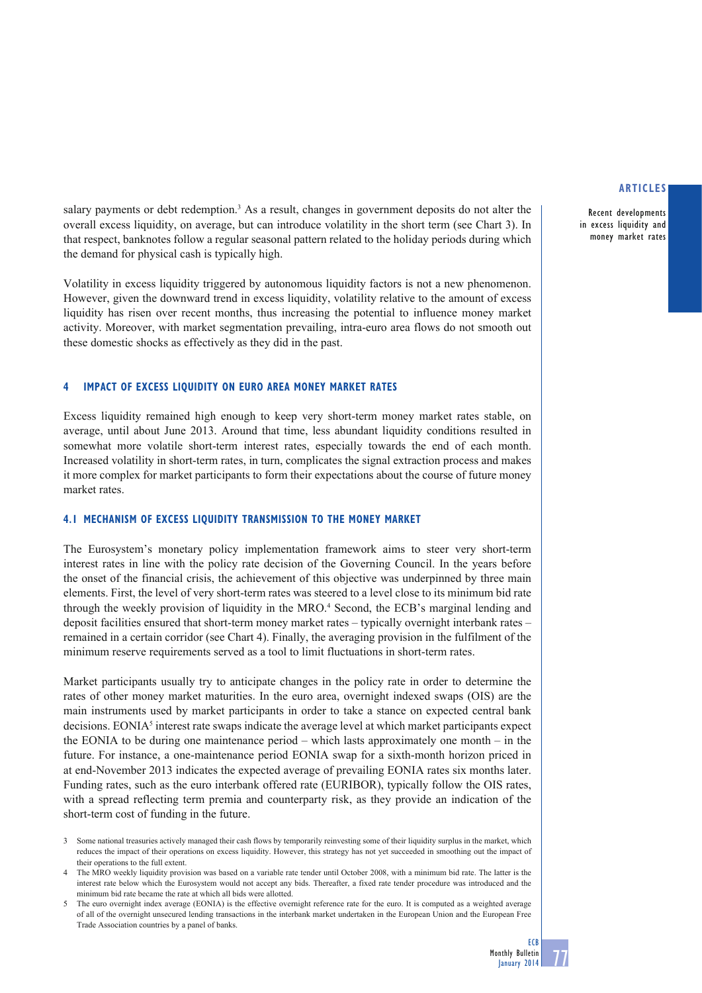Recent developments in excess liquidity and money market rates

salary payments or debt redemption.<sup>3</sup> As a result, changes in government deposits do not alter the overall excess liquidity, on average, but can introduce volatility in the short term (see Chart 3). In that respect, banknotes follow a regular seasonal pattern related to the holiday periods during which the demand for physical cash is typically high.

Volatility in excess liquidity triggered by autonomous liquidity factors is not a new phenomenon. However, given the downward trend in excess liquidity, volatility relative to the amount of excess liquidity has risen over recent months, thus increasing the potential to influence money market activity. Moreover, with market segmentation prevailing, intra-euro area flows do not smooth out these domestic shocks as effectively as they did in the past.

## **4 IMPACT OF EXCESS LIQUIDITY ON EURO AREA MONEY MARKET RATES**

Excess liquidity remained high enough to keep very short-term money market rates stable, on average, until about June 2013. Around that time, less abundant liquidity conditions resulted in somewhat more volatile short-term interest rates, especially towards the end of each month. Increased volatility in short-term rates, in turn, complicates the signal extraction process and makes it more complex for market participants to form their expectations about the course of future money market rates.

#### **4.1 MECHANISM OF EXCESS LIQUIDITY TRANSMISSION TO THE MONEY MARKET**

The Eurosystem's monetary policy implementation framework aims to steer very short-term interest rates in line with the policy rate decision of the Governing Council. In the years before the onset of the financial crisis, the achievement of this objective was underpinned by three main elements. First, the level of very short-term rates was steered to a level close to its minimum bid rate through the weekly provision of liquidity in the MRO.<sup>4</sup> Second, the ECB's marginal lending and deposit facilities ensured that short-term money market rates – typically overnight interbank rates – remained in a certain corridor (see Chart 4). Finally, the averaging provision in the fulfilment of the minimum reserve requirements served as a tool to limit fluctuations in short-term rates.

Market participants usually try to anticipate changes in the policy rate in order to determine the rates of other money market maturities. In the euro area, overnight indexed swaps (OIS) are the main instruments used by market participants in order to take a stance on expected central bank decisions. EONIA<sup>5</sup> interest rate swaps indicate the average level at which market participants expect the EONIA to be during one maintenance period – which lasts approximately one month – in the future. For instance, a one-maintenance period EONIA swap for a sixth-month horizon priced in at end-November 2013 indicates the expected average of prevailing EONIA rates six months later. Funding rates, such as the euro interbank offered rate (EURIBOR), typically follow the OIS rates, with a spread reflecting term premia and counterparty risk, as they provide an indication of the short-term cost of funding in the future.

<sup>3</sup> Some national treasuries actively managed their cash flows by temporarily reinvesting some of their liquidity surplus in the market, which reduces the impact of their operations on excess liquidity. However, this strategy has not yet succeeded in smoothing out the impact of their operations to the full extent.

<sup>4</sup> The MRO weekly liquidity provision was based on a variable rate tender until October 2008, with a minimum bid rate. The latter is the interest rate below which the Eurosystem would not accept any bids. Thereafter, a fixed rate tender procedure was introduced and the minimum bid rate became the rate at which all bids were allotted.

The euro overnight index average (EONIA) is the effective overnight reference rate for the euro. It is computed as a weighted average of all of the overnight unsecured lending transactions in the interbank market undertaken in the European Union and the European Free Trade Association countries by a panel of banks.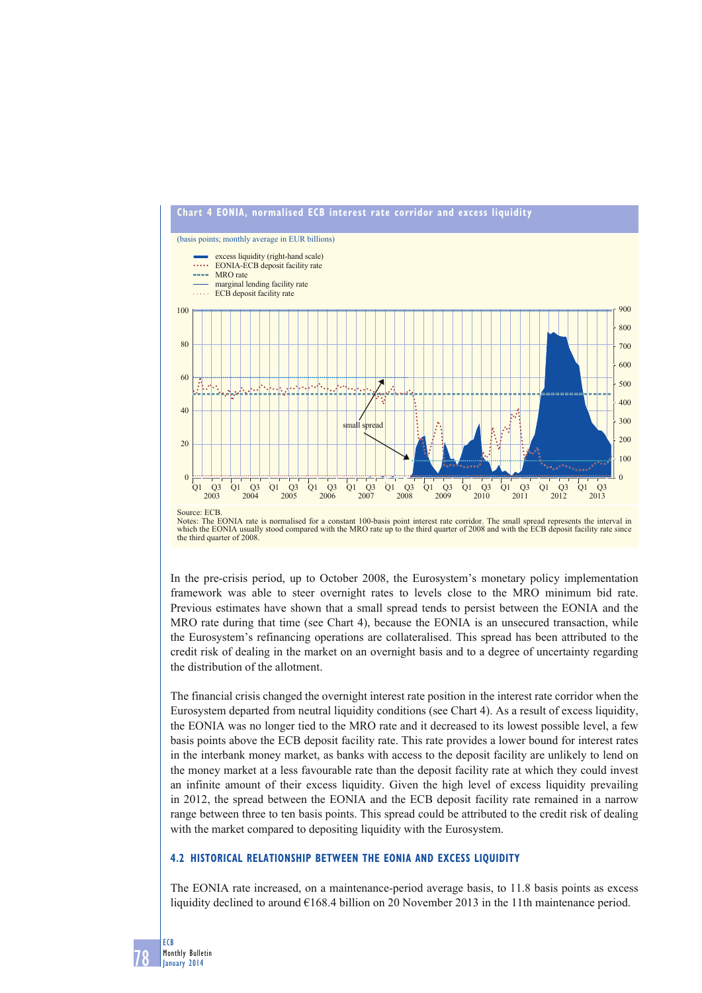



In the pre-crisis period, up to October 2008, the Eurosystem's monetary policy implementation framework was able to steer overnight rates to levels close to the MRO minimum bid rate. Previous estimates have shown that a small spread tends to persist between the EONIA and the MRO rate during that time (see Chart 4), because the EONIA is an unsecured transaction, while the Eurosystem's refinancing operations are collateralised. This spread has been attributed to the credit risk of dealing in the market on an overnight basis and to a degree of uncertainty regarding the distribution of the allotment.

The financial crisis changed the overnight interest rate position in the interest rate corridor when the Eurosystem departed from neutral liquidity conditions (see Chart 4). As a result of excess liquidity, the EONIA was no longer tied to the MRO rate and it decreased to its lowest possible level, a few basis points above the ECB deposit facility rate. This rate provides a lower bound for interest rates in the interbank money market, as banks with access to the deposit facility are unlikely to lend on the money market at a less favourable rate than the deposit facility rate at which they could invest an infinite amount of their excess liquidity. Given the high level of excess liquidity prevailing in 2012, the spread between the EONIA and the ECB deposit facility rate remained in a narrow range between three to ten basis points. This spread could be attributed to the credit risk of dealing with the market compared to depositing liquidity with the Eurosystem.

# **4.2 HISTORICAL RELATIONSHIP BETWEEN THE EONIA AND EXCESS LIQUIDITY**

The EONIA rate increased, on a maintenance-period average basis, to 11.8 basis points as excess liquidity declined to around  $\epsilon$ 168.4 billion on 20 November 2013 in the 11th maintenance period.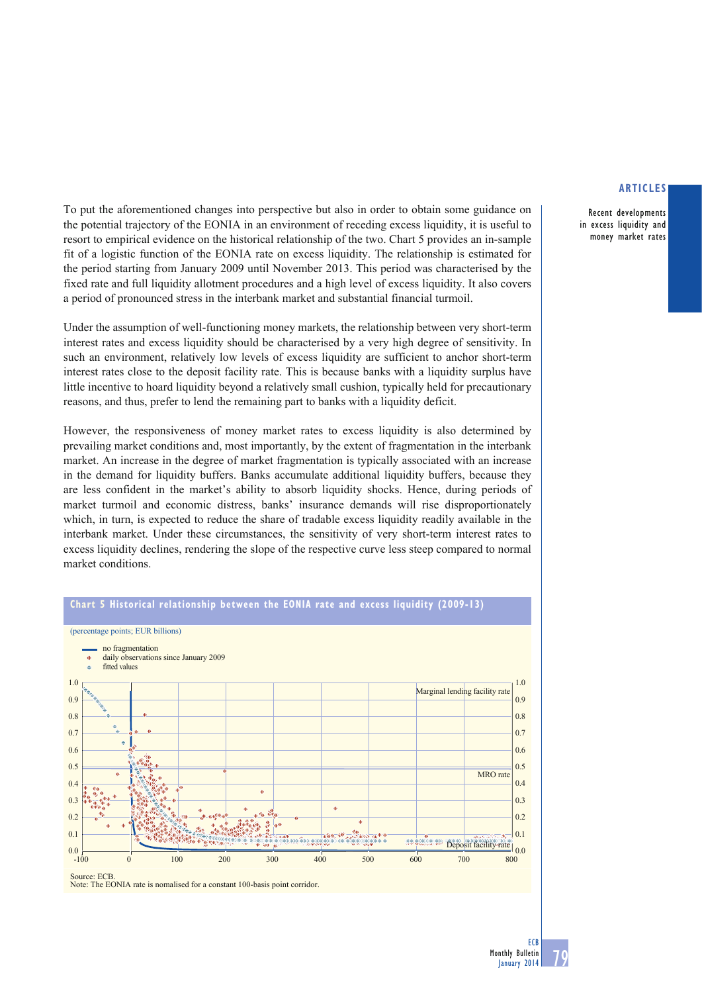Recent developments in excess liquidity and money market rates

To put the aforementioned changes into perspective but also in order to obtain some guidance on the potential trajectory of the EONIA in an environment of receding excess liquidity, it is useful to resort to empirical evidence on the historical relationship of the two. Chart 5 provides an in-sample fit of a logistic function of the EONIA rate on excess liquidity. The relationship is estimated for the period starting from January 2009 until November 2013. This period was characterised by the fixed rate and full liquidity allotment procedures and a high level of excess liquidity. It also covers a period of pronounced stress in the interbank market and substantial financial turmoil.

Under the assumption of well-functioning money markets, the relationship between very short-term interest rates and excess liquidity should be characterised by a very high degree of sensitivity. In such an environment, relatively low levels of excess liquidity are sufficient to anchor short-term interest rates close to the deposit facility rate. This is because banks with a liquidity surplus have little incentive to hoard liquidity beyond a relatively small cushion, typically held for precautionary reasons, and thus, prefer to lend the remaining part to banks with a liquidity deficit.

However, the responsiveness of money market rates to excess liquidity is also determined by prevailing market conditions and, most importantly, by the extent of fragmentation in the interbank market. An increase in the degree of market fragmentation is typically associated with an increase in the demand for liquidity buffers. Banks accumulate additional liquidity buffers, because they are less confident in the market's ability to absorb liquidity shocks. Hence, during periods of market turmoil and economic distress, banks' insurance demands will rise disproportionately which, in turn, is expected to reduce the share of tradable excess liquidity readily available in the interbank market. Under these circumstances, the sensitivity of very short-term interest rates to excess liquidity declines, rendering the slope of the respective curve less steep compared to normal market conditions.



Note: The EONIA rate is nomalised for a constant 100-basis point corridor.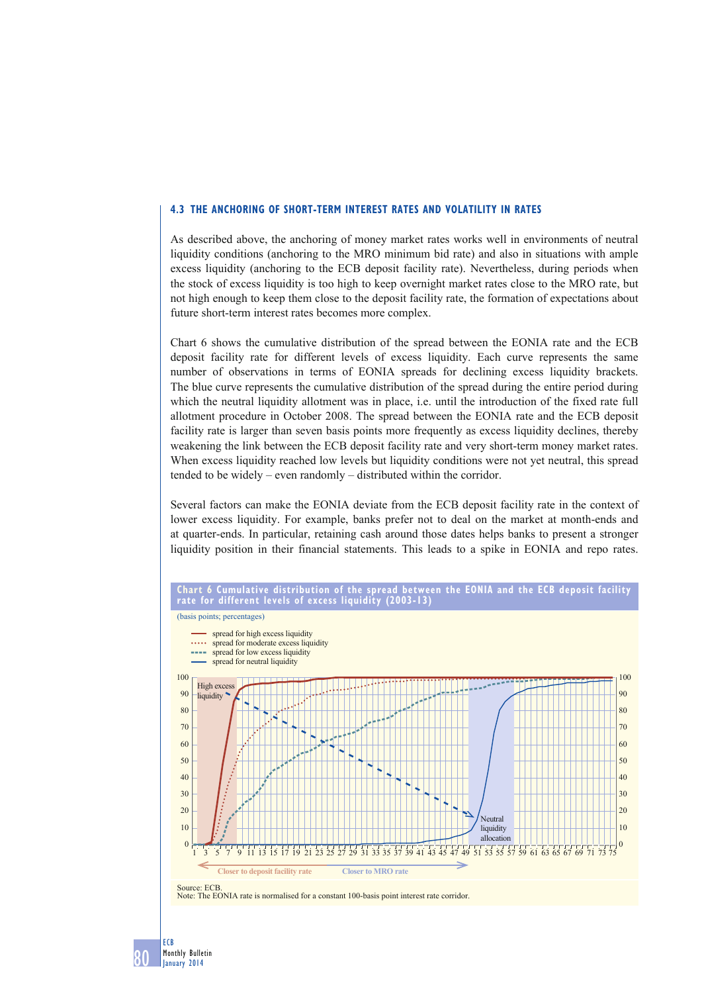## **4.3 THE ANCHORING OF SHORT-TERM INTEREST RATES AND VOLATILITY IN RATES**

As described above, the anchoring of money market rates works well in environments of neutral liquidity conditions (anchoring to the MRO minimum bid rate) and also in situations with ample excess liquidity (anchoring to the ECB deposit facility rate). Nevertheless, during periods when the stock of excess liquidity is too high to keep overnight market rates close to the MRO rate, but not high enough to keep them close to the deposit facility rate, the formation of expectations about future short-term interest rates becomes more complex.

Chart 6 shows the cumulative distribution of the spread between the EONIA rate and the ECB deposit facility rate for different levels of excess liquidity. Each curve represents the same number of observations in terms of EONIA spreads for declining excess liquidity brackets. The blue curve represents the cumulative distribution of the spread during the entire period during which the neutral liquidity allotment was in place, i.e. until the introduction of the fixed rate full allotment procedure in October 2008. The spread between the EONIA rate and the ECB deposit facility rate is larger than seven basis points more frequently as excess liquidity declines, thereby weakening the link between the ECB deposit facility rate and very short-term money market rates. When excess liquidity reached low levels but liquidity conditions were not yet neutral, this spread tended to be widely – even randomly – distributed within the corridor.

Several factors can make the EONIA deviate from the ECB deposit facility rate in the context of lower excess liquidity. For example, banks prefer not to deal on the market at month-ends and at quarter-ends. In particular, retaining cash around those dates helps banks to present a stronger liquidity position in their financial statements. This leads to a spike in EONIA and repo rates.



80 Monthly Bulletin January 2014

ECB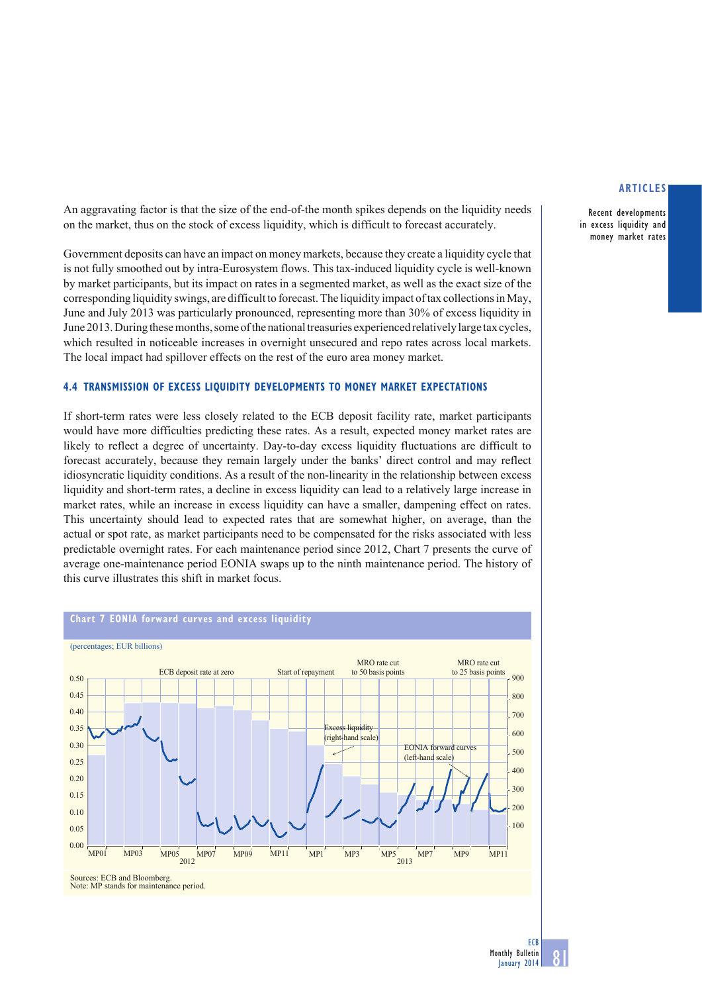Recent developments in excess liquidity and money market rates

An aggravating factor is that the size of the end-of-the month spikes depends on the liquidity needs on the market, thus on the stock of excess liquidity, which is difficult to forecast accurately.

Government deposits can have an impact on money markets, because they create a liquidity cycle that is not fully smoothed out by intra-Eurosystem flows. This tax-induced liquidity cycle is well-known by market participants, but its impact on rates in a segmented market, as well as the exact size of the corresponding liquidity swings, are difficult to forecast. The liquidity impact of tax collections in May, June and July 2013 was particularly pronounced, representing more than 30% of excess liquidity in June 2013. During these months, some of the national treasuries experienced relatively large tax cycles, which resulted in noticeable increases in overnight unsecured and repo rates across local markets. The local impact had spillover effects on the rest of the euro area money market.

## **4.4 TRANSMISSION OF EXCESS LIQUIDITY DEVELOPMENTS TO MONEY MARKET EXPECTATIONS**

If short-term rates were less closely related to the ECB deposit facility rate, market participants would have more difficulties predicting these rates. As a result, expected money market rates are likely to reflect a degree of uncertainty. Day-to-day excess liquidity fluctuations are difficult to forecast accurately, because they remain largely under the banks' direct control and may reflect idiosyncratic liquidity conditions. As a result of the non-linearity in the relationship between excess liquidity and short-term rates, a decline in excess liquidity can lead to a relatively large increase in market rates, while an increase in excess liquidity can have a smaller, dampening effect on rates. This uncertainty should lead to expected rates that are somewhat higher, on average, than the actual or spot rate, as market participants need to be compensated for the risks associated with less predictable overnight rates. For each maintenance period since 2012, Chart 7 presents the curve of average one-maintenance period EONIA swaps up to the ninth maintenance period. The history of this curve illustrates this shift in market focus.